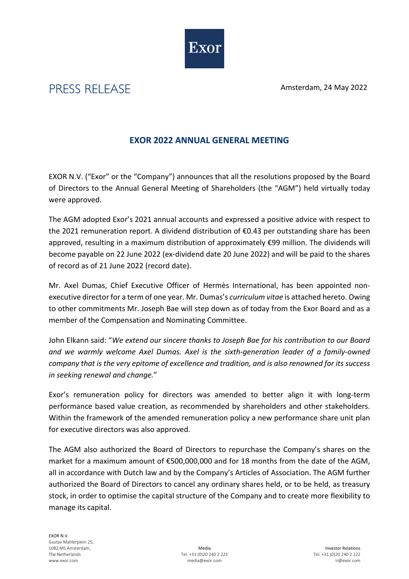Amsterdam, 24 May 2022



## PRESS RELEASE

## **EXOR 2022 ANNUAL GENERAL MEETING**

EXOR N.V. ("Exor" or the "Company") announces that all the resolutions proposed by the Board of Directors to the Annual General Meeting of Shareholders (the "AGM") held virtually today were approved.

The AGM adopted Exor's 2021 annual accounts and expressed a positive advice with respect to the 2021 remuneration report. A dividend distribution of €0.43 per outstanding share has been approved, resulting in a maximum distribution of approximately €99 million. The dividends will become payable on 22 June 2022 (ex-dividend date 20 June 2022) and will be paid to the shares of record as of 21 June 2022 (record date).

Mr. Axel Dumas, Chief Executive Officer of Hermès International, has been appointed nonexecutive director for a term of one year. Mr. Dumas's *curriculum vitae* is attached hereto. Owing to other commitments Mr. Joseph Bae will step down as of today from the Exor Board and as a member of the Compensation and Nominating Committee.

John Elkann said: "*We extend our sincere thanks to Joseph Bae for his contribution to our Board and we warmly welcome Axel Dumas. Axel is the sixth-generation leader of a family-owned company that is the very epitome of excellence and tradition, and is also renowned for its success in seeking renewal and change.*"

Exor's remuneration policy for directors was amended to better align it with long-term performance based value creation, as recommended by shareholders and other stakeholders. Within the framework of the amended remuneration policy a new performance share unit plan for executive directors was also approved.

The AGM also authorized the Board of Directors to repurchase the Company's shares on the market for a maximum amount of €500,000,000 and for 18 months from the date of the AGM, all in accordance with Dutch law and by the Company's Articles of Association. The AGM further authorized the Board of Directors to cancel any ordinary shares held, or to be held, as treasury stock, in order to optimise the capital structure of the Company and to create more flexibility to manage its capital.